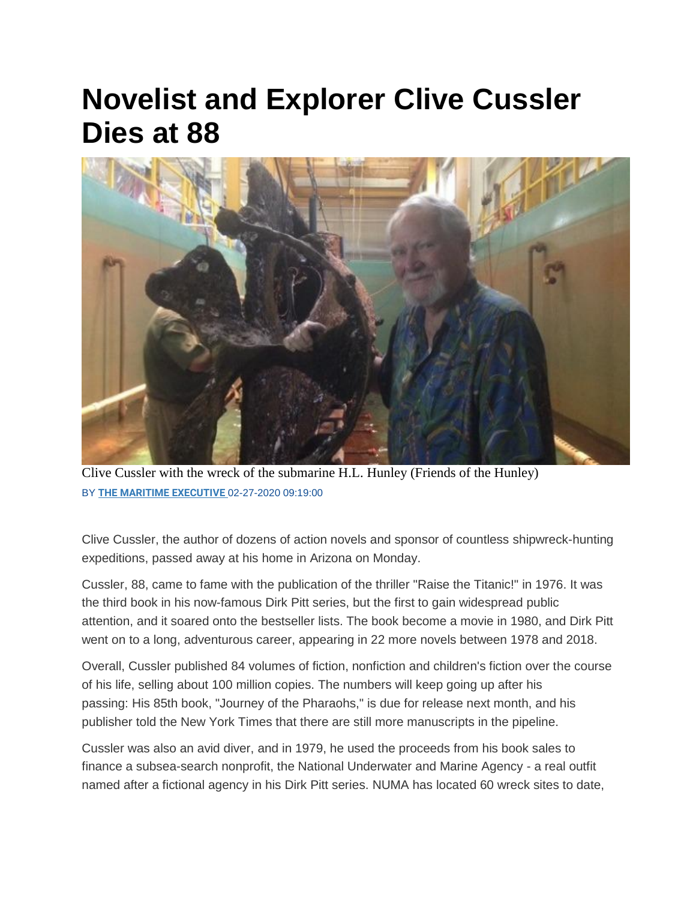## **Novelist and Explorer Clive Cussler Dies at 88**



Clive Cussler with the wreck of the submarine H.L. Hunley (Friends of the Hunley) BY **[THE MARITIME EXECUTIVE](https://www.maritime-executive.com/author/marex)** 02-27-2020 09:19:00

Clive Cussler, the author of dozens of action novels and sponsor of countless shipwreck-hunting expeditions, passed away at his home in Arizona on Monday.

Cussler, 88, came to fame with the publication of the thriller "Raise the Titanic!" in 1976. It was the third book in his now-famous Dirk Pitt series, but the first to gain widespread public attention, and it soared onto the bestseller lists. The book become a movie in 1980, and Dirk Pitt went on to a long, adventurous career, appearing in 22 more novels between 1978 and 2018.

Overall, Cussler published 84 volumes of fiction, nonfiction and children's fiction over the course of his life, selling about 100 million copies. The numbers will keep going up after his passing: His 85th book, "Journey of the Pharaohs," is due for release next month, and his publisher told the New York Times that there are still more manuscripts in the pipeline.

Cussler was also an avid diver, and in 1979, he used the proceeds from his book sales to finance a subsea-search nonprofit, the National Underwater and Marine Agency - a real outfit named after a fictional agency in his Dirk Pitt series. NUMA has located 60 wreck sites to date,